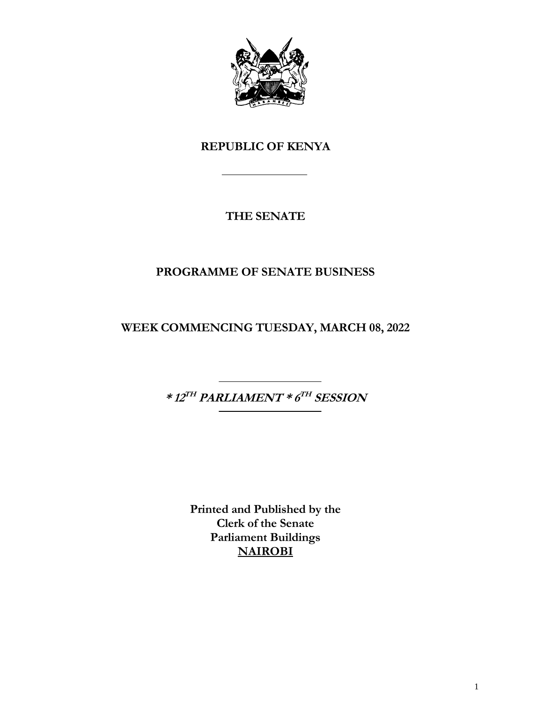

# **REPUBLIC OF KENYA**

# **THE SENATE**

# **PROGRAMME OF SENATE BUSINESS**

**WEEK COMMENCING TUESDAY, MARCH 08, 2022**

**\* 12 TH PARLIAMENT \* 6 TH SESSION**

**Printed and Published by the Clerk of the Senate Parliament Buildings NAIROBI**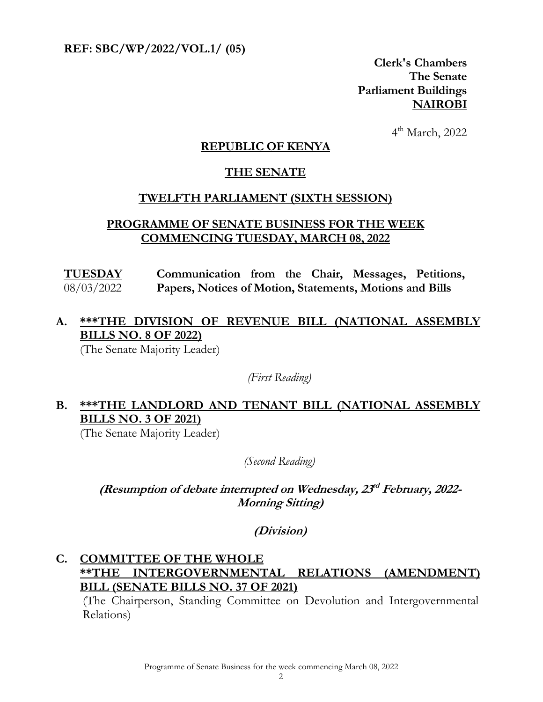**REF: SBC/WP/2022/VOL.1/ (05)** 

**Clerk's Chambers The Senate Parliament Buildings NAIROBI**

 4  $4<sup>th</sup>$  March, 2022

#### **REPUBLIC OF KENYA**

#### **THE SENATE**

#### **TWELFTH PARLIAMENT (SIXTH SESSION)**

#### **PROGRAMME OF SENATE BUSINESS FOR THE WEEK COMMENCING TUESDAY, MARCH 08, 2022**

**TUESDAY** 08/03/2022 **Communication from the Chair, Messages, Petitions, Papers, Notices of Motion, Statements, Motions and Bills**

# **A. \*\*\*THE DIVISION OF REVENUE BILL (NATIONAL ASSEMBLY BILLS NO. 8 OF 2022)**

(The Senate Majority Leader)

*(First Reading)*

### **B. \*\*\*THE LANDLORD AND TENANT BILL (NATIONAL ASSEMBLY BILLS NO. 3 OF 2021)**

(The Senate Majority Leader)

*(Second Reading)*

#### (Resumption of debate interrupted on Wednesday,  $23<sup>d</sup>$  February, 2022-**Morning Sitting)**

**(Division)**

### **C. COMMITTEE OF THE WHOLE \*\*THE INTERGOVERNMENTAL RELATIONS (AMENDMENT) BILL (SENATE BILLS NO. 37 OF 2021)**

(The Chairperson, Standing Committee on Devolution and Intergovernmental Relations)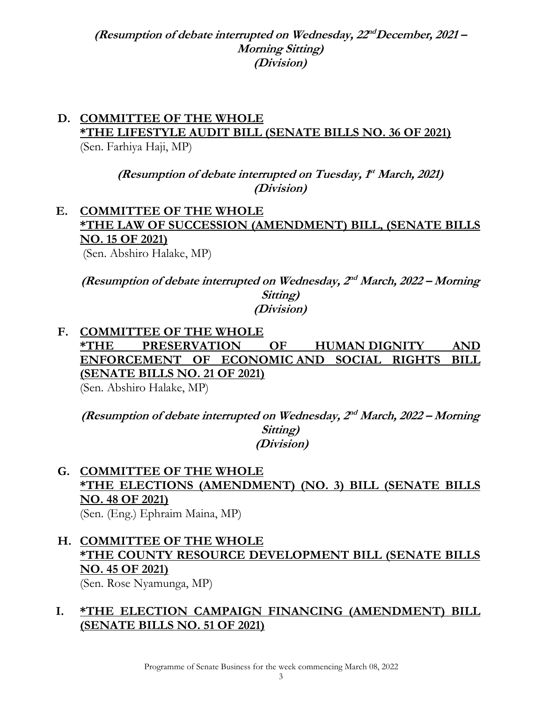(Resumption of debate interrupted on Wednesday,  $22^{nd}$ December, 2021 – **Morning Sitting) (Division)**

# **D. COMMITTEE OF THE WHOLE \*THE LIFESTYLE AUDIT BILL (SENATE BILLS NO. 36 OF 2021)**

(Sen. Farhiya Haji, MP)

(Resumption of debate interrupted on Tuesday,  $f<sup>t</sup>$  March, 2021) **(Division)**

### **E. COMMITTEE OF THE WHOLE \*THE LAW OF SUCCESSION (AMENDMENT) BILL, (SENATE BILLS NO. 15 OF 2021)**

(Sen. Abshiro Halake, MP)

(Resumption of debate interrupted on Wednesday,  $2^{nd}$  March, 2022 – Morning **Sitting) (Division)**

**F. COMMITTEE OF THE WHOLE \*THE PRESERVATION OF HUMAN DIGNITY AND ENFORCEMENT OF ECONOMIC AND SOCIAL RIGHTS BILL (SENATE BILLS NO. 21 OF 2021)**  (Sen. Abshiro Halake, MP)

(Resumption of debate interrupted on Wednesday,  $2^{nd}$  March, 2022 – Morning **Sitting) (Division)**

#### **G. COMMITTEE OF THE WHOLE \*THE ELECTIONS (AMENDMENT) (NO. 3) BILL (SENATE BILLS NO. 48 OF 2021)** (Sen. (Eng.) Ephraim Maina, MP)

**H. COMMITTEE OF THE WHOLE \*THE COUNTY RESOURCE DEVELOPMENT BILL (SENATE BILLS NO. 45 OF 2021)** (Sen. Rose Nyamunga, MP)

### **I. \*THE ELECTION CAMPAIGN FINANCING (AMENDMENT) BILL (SENATE BILLS NO. 51 OF 2021)**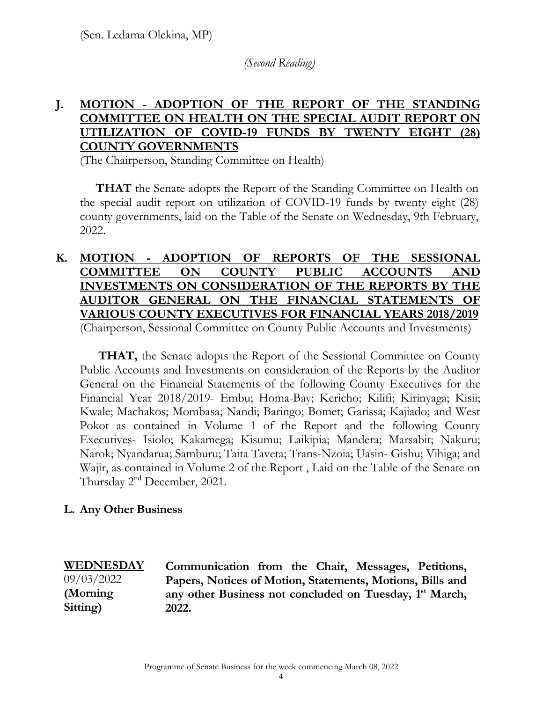*(Second Reading)*

### **J. MOTION - ADOPTION OF THE REPORT OF THE STANDING COMMITTEE ON HEALTH ON THE SPECIAL AUDIT REPORT ON UTILIZATION OF COVID-19 FUNDS BY TWENTY EIGHT (28) COUNTY GOVERNMENTS**

(The Chairperson, Standing Committee on Health)

**THAT** the Senate adopts the Report of the Standing Committee on Health on the special audit report on utilization of COVID-19 funds by twenty eight (28) county governments, laid on the Table of the Senate on Wednesday, 9th February, 2022.

#### **K. MOTION - ADOPTION OF REPORTS OF THE SESSIONAL COMMITTEE ON COUNTY PUBLIC ACCOUNTS AND INVESTMENTS ON CONSIDERATION OF THE REPORTS BY THE AUDITOR GENERAL ON THE FINANCIAL STATEMENTS OF VARIOUS COUNTY EXECUTIVES FOR FINANCIAL YEARS 2018/2019** (Chairperson, Sessional Committee on County Public Accounts and Investments)

**THAT,** the Senate adopts the Report of the Sessional Committee on County Public Accounts and Investments on consideration of the Reports by the Auditor General on the Financial Statements of the following County Executives for the Financial Year 2018/2019- Embu; Homa-Bay; Kericho; Kilifi; Kirinyaga; Kisii; Kwale; Machakos; Mombasa; Nandi; Baringo; Bomet; Garissa; Kajiado; and West Pokot as contained in Volume 1 of the Report and the following County Executives- Isiolo; Kakamega; Kisumu; Laikipia; Mandera; Marsabit; Nakuru; Narok; Nyandarua; Samburu; Taita Taveta; Trans-Nzoia; Uasin- Gishu; Vihiga; and Wajir, as contained in Volume 2 of the Report , Laid on the Table of the Senate on Thursday 2<sup>nd</sup> December, 2021.

#### **L. Any Other Business**

#### **WEDNESDAY**  09/03/2022 **(Morning**

**Sitting)**

**Communication from the Chair, Messages, Petitions, Papers, Notices of Motion, Statements, Motions, Bills and**  any other Business not concluded on Tuesday, 1<sup>st</sup> March, **2022.**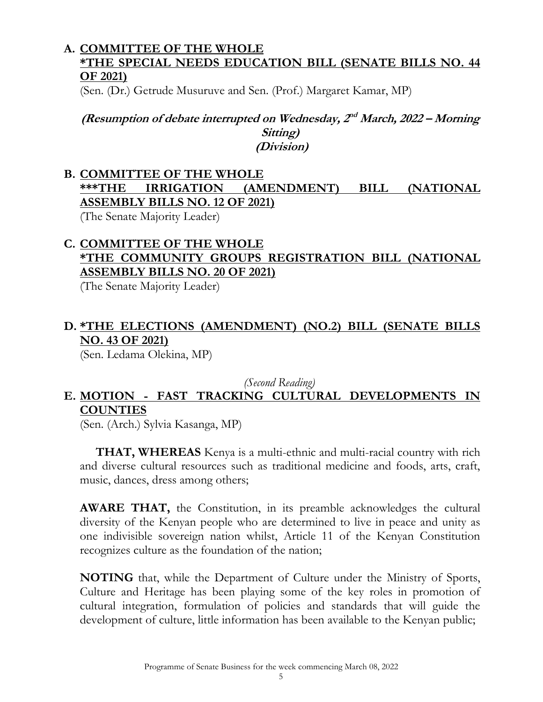#### **A. COMMITTEE OF THE WHOLE \*THE SPECIAL NEEDS EDUCATION BILL (SENATE BILLS NO. 44 OF 2021)**

(Sen. (Dr.) Getrude Musuruve and Sen. (Prof.) Margaret Kamar, MP)

#### (Resumption of debate interrupted on Wednesday,  $2^{nd}$  March, 2022 – Morning **Sitting) (Division)**

# **B. COMMITTEE OF THE WHOLE \*\*\*THE IRRIGATION (AMENDMENT) BILL (NATIONAL ASSEMBLY BILLS NO. 12 OF 2021)**

(The Senate Majority Leader)

### **C. COMMITTEE OF THE WHOLE \*THE COMMUNITY GROUPS REGISTRATION BILL (NATIONAL ASSEMBLY BILLS NO. 20 OF 2021)**

(The Senate Majority Leader)

# **D. \*THE ELECTIONS (AMENDMENT) (NO.2) BILL (SENATE BILLS NO. 43 OF 2021)**

(Sen. Ledama Olekina, MP)

*(Second Reading)*

# **E. MOTION - FAST TRACKING CULTURAL DEVELOPMENTS IN COUNTIES**

(Sen. (Arch.) Sylvia Kasanga, MP)

**THAT, WHEREAS** Kenya is a multi-ethnic and multi-racial country with rich and diverse cultural resources such as traditional medicine and foods, arts, craft, music, dances, dress among others;

**AWARE THAT,** the Constitution, in its preamble acknowledges the cultural diversity of the Kenyan people who are determined to live in peace and unity as one indivisible sovereign nation whilst, Article 11 of the Kenyan Constitution recognizes culture as the foundation of the nation;

**NOTING** that, while the Department of Culture under the Ministry of Sports, Culture and Heritage has been playing some of the key roles in promotion of cultural integration, formulation of policies and standards that will guide the development of culture, little information has been available to the Kenyan public;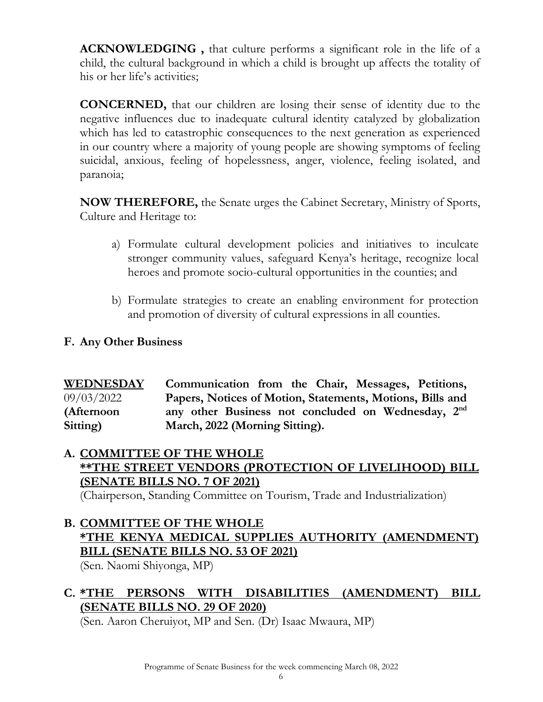**ACKNOWLEDGING ,** that culture performs a significant role in the life of a child, the cultural background in which a child is brought up affects the totality of his or her life's activities;

**CONCERNED,** that our children are losing their sense of identity due to the negative influences due to inadequate cultural identity catalyzed by globalization which has led to catastrophic consequences to the next generation as experienced in our country where a majority of young people are showing symptoms of feeling suicidal, anxious, feeling of hopelessness, anger, violence, feeling isolated, and paranoia;

**NOW THEREFORE,** the Senate urges the Cabinet Secretary, Ministry of Sports, Culture and Heritage to:

- a) Formulate cultural development policies and initiatives to inculcate stronger community values, safeguard Kenya's heritage, recognize local heroes and promote socio-cultural opportunities in the counties; and
- b) Formulate strategies to create an enabling environment for protection and promotion of diversity of cultural expressions in all counties.

#### **F. Any Other Business**

**WEDNESDAY**  09/03/2022 **(Afternoon Sitting) Communication from the Chair, Messages, Petitions, Papers, Notices of Motion, Statements, Motions, Bills and**  any other Business not concluded on Wednesday, 2<sup>nd</sup> **March, 2022 (Morning Sitting).**

#### **A. COMMITTEE OF THE WHOLE \*\*THE STREET VENDORS (PROTECTION OF LIVELIHOOD) BILL (SENATE BILLS NO. 7 OF 2021)**

(Chairperson, Standing Committee on Tourism, Trade and Industrialization)

**B. COMMITTEE OF THE WHOLE \*THE KENYA MEDICAL SUPPLIES AUTHORITY (AMENDMENT) BILL (SENATE BILLS NO. 53 OF 2021)** 

(Sen. Naomi Shiyonga, MP)

### **C. \*THE PERSONS WITH DISABILITIES (AMENDMENT) BILL (SENATE BILLS NO. 29 OF 2020)**

(Sen. Aaron Cheruiyot, MP and Sen. (Dr) Isaac Mwaura, MP)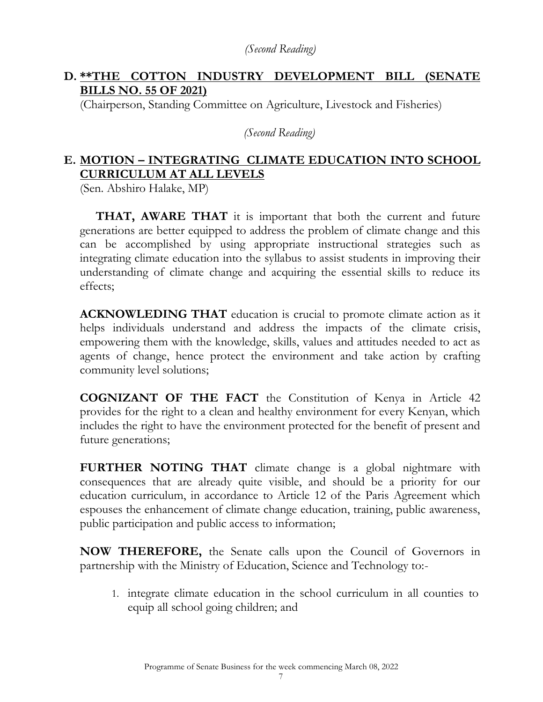### **D. \*\*THE COTTON INDUSTRY DEVELOPMENT BILL (SENATE BILLS NO. 55 OF 2021)**

(Chairperson, Standing Committee on Agriculture, Livestock and Fisheries)

*(Second Reading)*

### **E. MOTION – INTEGRATING CLIMATE EDUCATION INTO SCHOOL CURRICULUM AT ALL LEVELS**

(Sen. Abshiro Halake, MP)

**THAT, AWARE THAT** it is important that both the current and future generations are better equipped to address the problem of climate change and this can be accomplished by using appropriate instructional strategies such as integrating climate education into the syllabus to assist students in improving their understanding of climate change and acquiring the essential skills to reduce its effects;

**ACKNOWLEDING THAT** education is crucial to promote climate action as it helps individuals understand and address the impacts of the climate crisis, empowering them with the knowledge, skills, values and attitudes needed to act as agents of change, hence protect the environment and take action by crafting community level solutions;

**COGNIZANT OF THE FACT** the Constitution of Kenya in Article 42 provides for the right to a clean and healthy environment for every Kenyan, which includes the right to have the environment protected for the benefit of present and future generations;

**FURTHER NOTING THAT** climate change is a global nightmare with consequences that are already quite visible, and should be a priority for our education curriculum, in accordance to Article 12 of the Paris Agreement which espouses the enhancement of climate change education, training, public awareness, public participation and public access to information;

**NOW THEREFORE,** the Senate calls upon the Council of Governors in partnership with the Ministry of Education, Science and Technology to:-

1. integrate climate education in the school curriculum in all counties to equip all school going children; and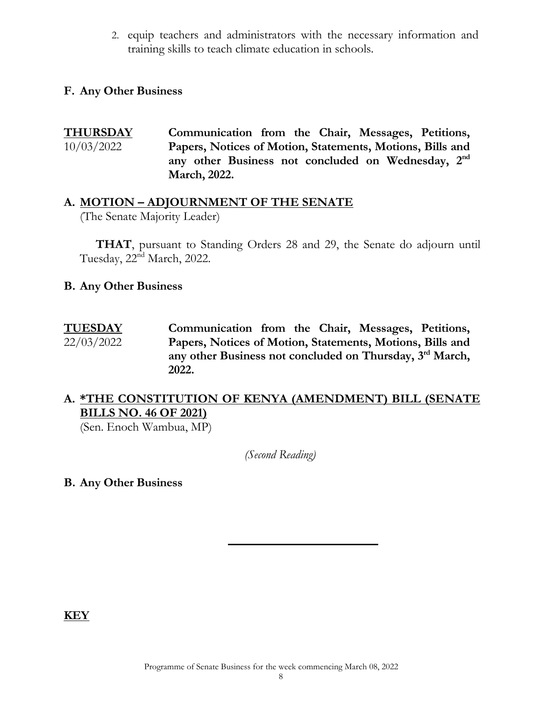2. equip teachers and administrators with the necessary information and training skills to teach climate education in schools.

#### **F. Any Other Business**

**THURSDAY**  10/03/2022 **Communication from the Chair, Messages, Petitions, Papers, Notices of Motion, Statements, Motions, Bills and**  any other Business not concluded on Wednesday, 2<sup>nd</sup> **March, 2022.**

### **A. MOTION – ADJOURNMENT OF THE SENATE**

(The Senate Majority Leader)

**THAT**, pursuant to Standing Orders 28 and 29, the Senate do adjourn until Tuesday, 22<sup>nd</sup> March, 2022.

#### **B. Any Other Business**

**TUESDAY**  22/03/2022 **Communication from the Chair, Messages, Petitions, Papers, Notices of Motion, Statements, Motions, Bills and**  any other Business not concluded on Thursday, 3<sup>rd</sup> March, **2022.** 

#### **A. \*THE CONSTITUTION OF KENYA (AMENDMENT) BILL (SENATE BILLS NO. 46 OF 2021)**

(Sen. Enoch Wambua, MP)

*(Second Reading)*

**B. Any Other Business**

**KEY**